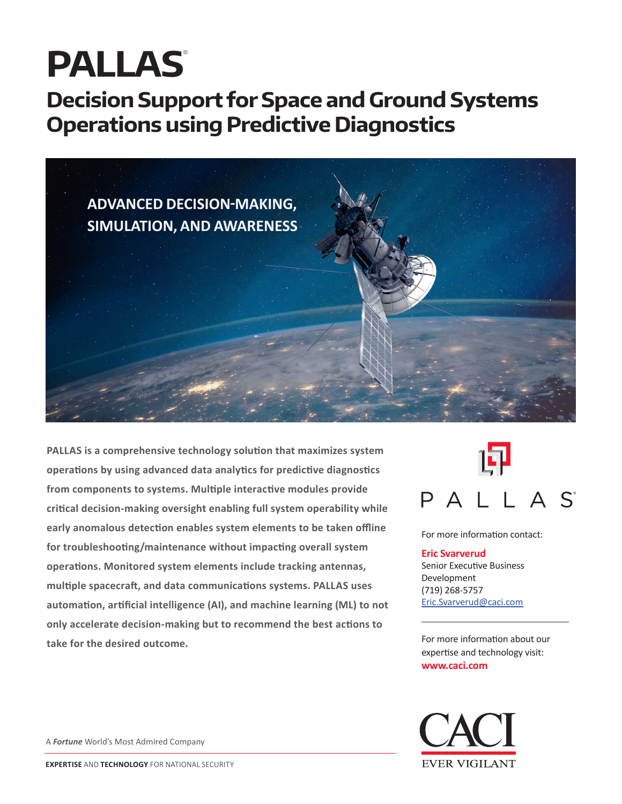# **PALLAS**®

# **Decision Support for Space and Ground Systems Operations using Predictive Diagnostics**



**PALLAS is a comprehensive technology solution that maximizes system operations by using advanced data analytics for predictive diagnostics from components to systems. Multiple interactive modules provide critical decision-making oversight enabling full system operability while early anomalous detection enables system elements to be taken offline for troubleshooting/maintenance without impacting overall system operations. Monitored system elements include tracking antennas, multiple spacecraft, and data communications systems. PALLAS uses automation, artificial intelligence (AI), and machine learning (ML) to not only accelerate decision-making but to recommend the best actions to take for the desired outcome.**



For more information contact:

#### **Eric Svarverud**

Senior Executive Business Development (719) 268-5757 [Eric.Svarverud@caci.com](mailto:"Eric.Svarverud@caci.com")

For more information about our expertise and technology visit: **www.caci.com**



A *Fortune* World's Most Admired Company